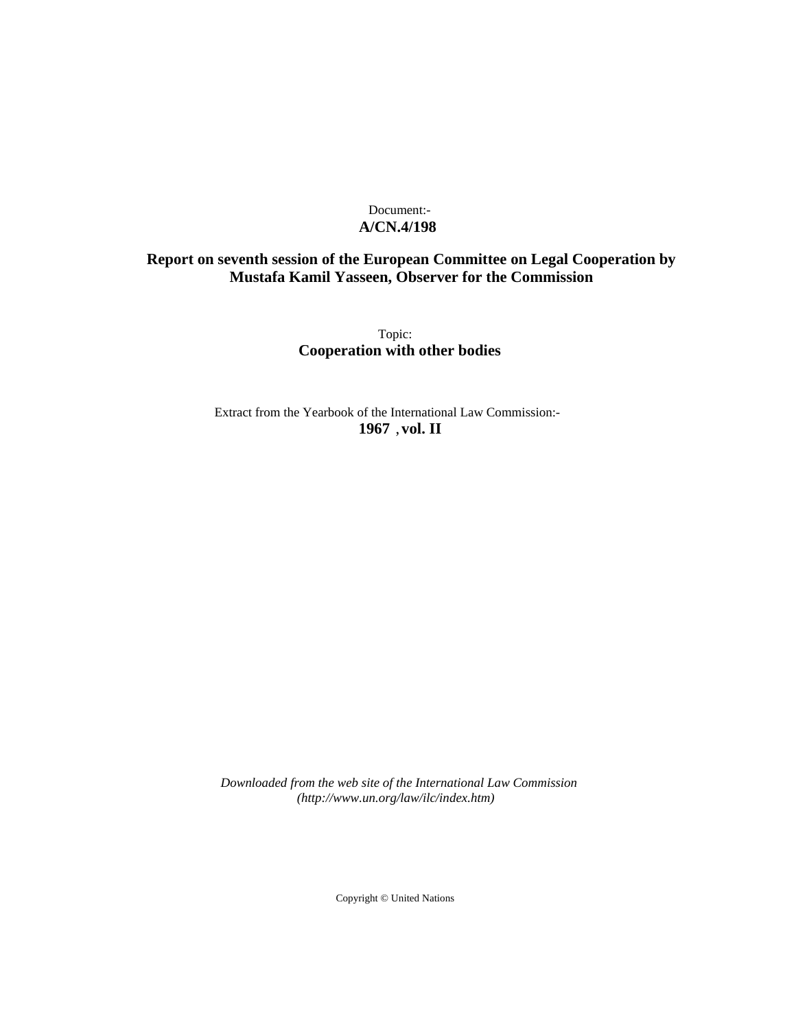# Document:- **A/CN.4/198**

# **Report on seventh session of the European Committee on Legal Cooperation by Mustafa Kamil Yasseen, Observer for the Commission**

Topic: **Cooperation with other bodies**

Extract from the Yearbook of the International Law Commission:- **1967** ,**vol. II**

*Downloaded from the web site of the International Law Commission (http://www.un.org/law/ilc/index.htm)*

Copyright © United Nations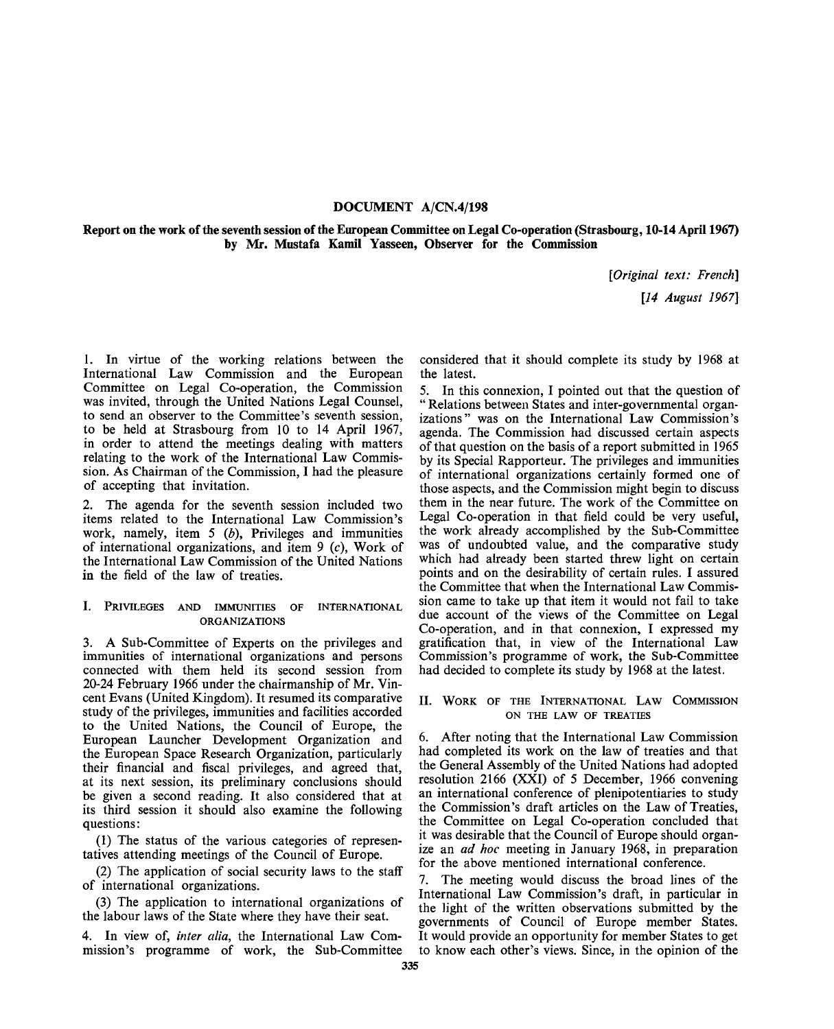## **DOCUMENT A/CN.4/198**

**Report on the work of the seventh session of the European Committee on Legal Co-operation (Strasbourg, 10-14 April 1967) by Mr. Mustafa Kamil Yasseen, Observer for the Commission**

*[Original text: French]*

*[14 August 1967]*

1. In virtue of the working relations between the International Law Commission and the European Committee on Legal Co-operation, the Commission was invited, through the United Nations Legal Counsel, to send an observer to the Committee's seventh session, to be held at Strasbourg from 10 to 14 April 1967, in order to attend the meetings dealing with matters relating to the work of the International Law Commission. As Chairman of the Commission, I had the pleasure of accepting that invitation.

2. The agenda for the seventh session included two items related to the International Law Commission's work, namely, item 5 *(b),* Privileges and immunities of international organizations, and item 9 (c), Work of the International Law Commission of the United Nations **in** the field of the law of treaties.

### I. PRIVILEGES AND IMMUNITIES OF INTERNATIONAL ORGANIZATIONS

3. A Sub-Committee of Experts on the privileges and immunities of international organizations and persons connected with them held its second session from 20-24 February 1966 under the chairmanship of Mr. Vincent Evans (United Kingdom). It resumed its comparative study of the privileges, immunities and facilities accorded to the United Nations, the Council of Europe, the European Launcher Development Organization and the European Space Research Organization, particularly their financial and fiscal privileges, and agreed that, at its next session, its preliminary conclusions should be given a second reading. It also considered that at its third session it should also examine the following questions:

(1) The status of the various categories of representatives attending meetings of the Council of Europe.

(2) The application of social security laws to the staff of international organizations.

(3) The application to international organizations of the labour laws of the State where they have their seat.

4. In view of, *inter alia,* the International Law Commission's programme of work, the Sub-Committee considered that it should complete its study by 1968 at the latest.

5. In this connexion, I pointed out that the question of " Relations between States and inter-governmental organizations" was on the International Law Commission's agenda. The Commission had discussed certain aspects of that question on the basis of a report submitted in 1965 by its Special Rapporteur. The privileges and immunities of international organizations certainly formed one of those aspects, and the Commission might begin to discuss them in the near future. The work of the Committee on Legal Co-operation in that field could be very useful, the work already accomplished by the Sub-Committee was of undoubted value, and the comparative study which had already been started threw light on certain points and on the desirability of certain rules. I assured the Committee that when the International Law Commission came to take up that item it would not fail to take due account of the views of the Committee on Legal Co-operation, and in that connexion, I expressed my gratification that, in view of the International Law Commission's programme of work, the Sub-Committee had decided to complete its study by 1968 at the latest.

### II. WORK OF THE INTERNATIONAL LAW COMMISSION ON THE LAW OF TREATIES

6. After noting that the International Law Commission had completed its work on the law of treaties and that the General Assembly of the United Nations had adopted resolution 2166 (XXI) of 5 December, 1966 convening an international conference of plenipotentiaries to study the Commission's draft articles on the Law of Treaties, the Committee on Legal Co-operation concluded that it was desirable that the Council of Europe should organize an *ad hoc* meeting in January 1968, in preparation for the above mentioned international conference.

7. The meeting would discuss the broad lines of the International Law Commission's draft, in particular in the light of the written observations submitted by the governments of Council of Europe member States. It would provide an opportunity for member States to get to know each other's views. Since, in the opinion of the